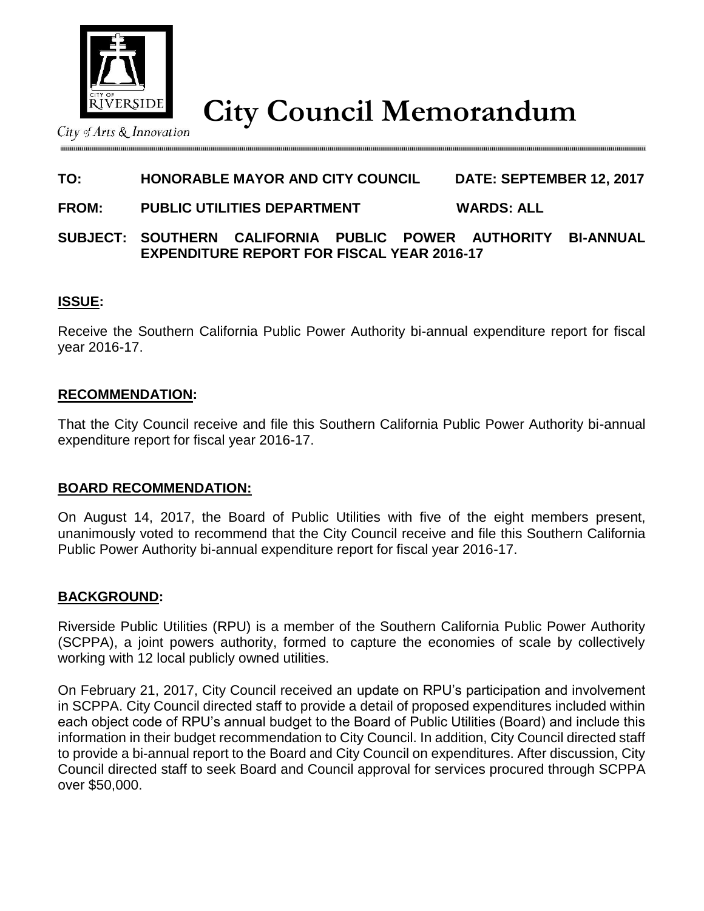

**City Council Memorandum**

City of Arts & Innovation

# **TO: HONORABLE MAYOR AND CITY COUNCIL DATE: SEPTEMBER 12, 2017**

## **FROM: PUBLIC UTILITIES DEPARTMENT WARDS: ALL**

## **SUBJECT: SOUTHERN CALIFORNIA PUBLIC POWER AUTHORITY BI-ANNUAL EXPENDITURE REPORT FOR FISCAL YEAR 2016-17**

## **ISSUE:**

Receive the Southern California Public Power Authority bi-annual expenditure report for fiscal year 2016-17.

#### **RECOMMENDATION:**

That the City Council receive and file this Southern California Public Power Authority bi-annual expenditure report for fiscal year 2016-17.

## **BOARD RECOMMENDATION:**

On August 14, 2017, the Board of Public Utilities with five of the eight members present, unanimously voted to recommend that the City Council receive and file this Southern California Public Power Authority bi-annual expenditure report for fiscal year 2016-17.

## **BACKGROUND:**

Riverside Public Utilities (RPU) is a member of the Southern California Public Power Authority (SCPPA), a joint powers authority, formed to capture the economies of scale by collectively working with 12 local publicly owned utilities.

On February 21, 2017, City Council received an update on RPU's participation and involvement in SCPPA. City Council directed staff to provide a detail of proposed expenditures included within each object code of RPU's annual budget to the Board of Public Utilities (Board) and include this information in their budget recommendation to City Council. In addition, City Council directed staff to provide a bi-annual report to the Board and City Council on expenditures. After discussion, City Council directed staff to seek Board and Council approval for services procured through SCPPA over \$50,000.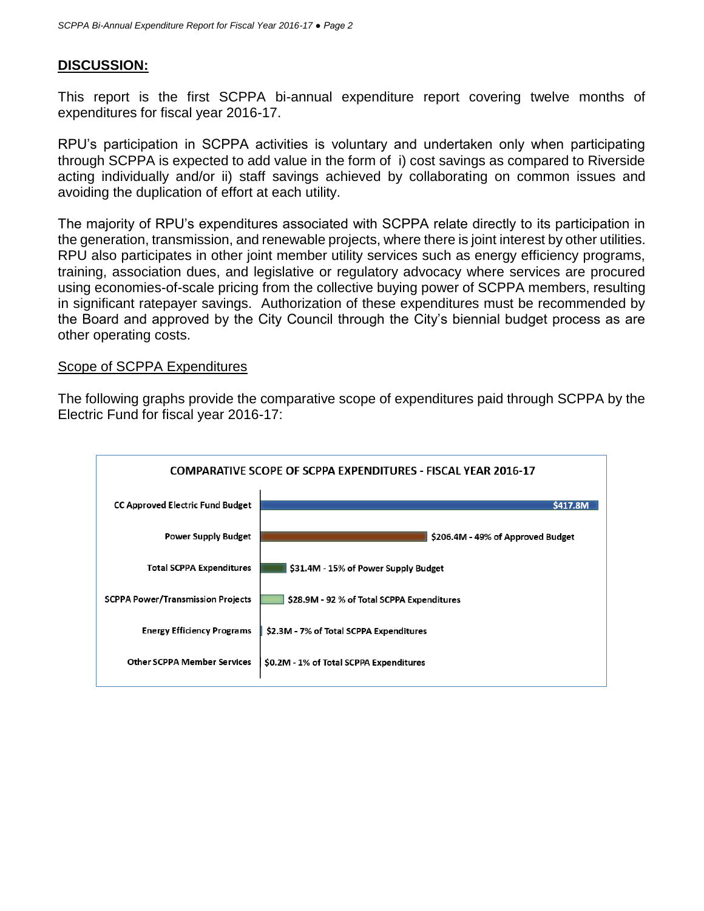## **DISCUSSION:**

This report is the first SCPPA bi-annual expenditure report covering twelve months of expenditures for fiscal year 2016-17.

RPU's participation in SCPPA activities is voluntary and undertaken only when participating through SCPPA is expected to add value in the form of i) cost savings as compared to Riverside acting individually and/or ii) staff savings achieved by collaborating on common issues and avoiding the duplication of effort at each utility.

The majority of RPU's expenditures associated with SCPPA relate directly to its participation in the generation, transmission, and renewable projects, where there is joint interest by other utilities. RPU also participates in other joint member utility services such as energy efficiency programs, training, association dues, and legislative or regulatory advocacy where services are procured using economies-of-scale pricing from the collective buying power of SCPPA members, resulting in significant ratepayer savings. Authorization of these expenditures must be recommended by the Board and approved by the City Council through the City's biennial budget process as are other operating costs.

#### Scope of SCPPA Expenditures

The following graphs provide the comparative scope of expenditures paid through SCPPA by the Electric Fund for fiscal year 2016-17:

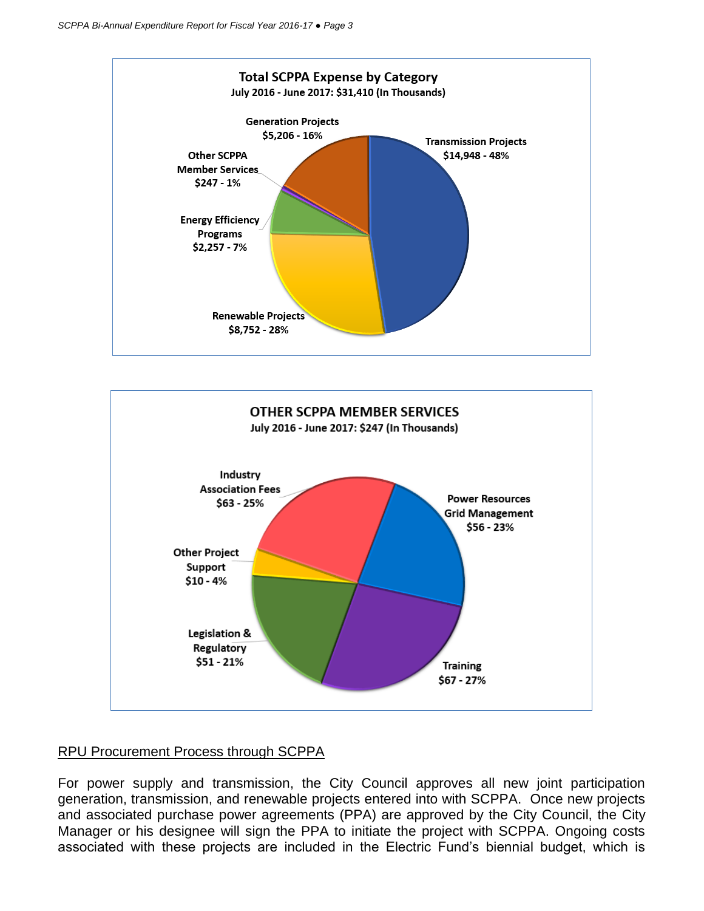



## RPU Procurement Process through SCPPA

For power supply and transmission, the City Council approves all new joint participation generation, transmission, and renewable projects entered into with SCPPA. Once new projects and associated purchase power agreements (PPA) are approved by the City Council, the City Manager or his designee will sign the PPA to initiate the project with SCPPA. Ongoing costs associated with these projects are included in the Electric Fund's biennial budget, which is